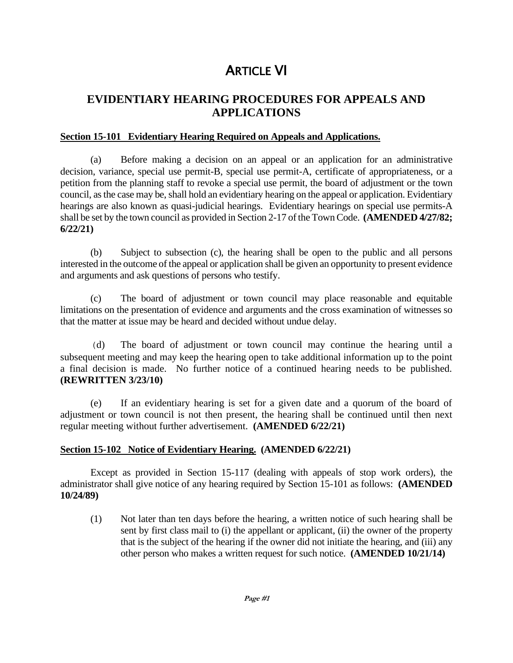# **ARTICLE VI**

# **EVIDENTIARY HEARING PROCEDURES FOR APPEALS AND APPLICATIONS**

### **Section 15-101 Evidentiary Hearing Required on Appeals and Applications.**

(a) Before making a decision on an appeal or an application for an administrative decision, variance, special use permit-B, special use permit-A, certificate of appropriateness, or a petition from the planning staff to revoke a special use permit, the board of adjustment or the town council, as the case may be, shall hold an evidentiary hearing on the appeal or application. Evidentiary hearings are also known as quasi-judicial hearings. Evidentiary hearings on special use permits-A shall be set by the town council as provided in Section 2-17 of the Town Code. **(AMENDED 4/27/82; 6/22/21)**

(b) Subject to subsection (c), the hearing shall be open to the public and all persons interested in the outcome of the appeal or application shall be given an opportunity to present evidence and arguments and ask questions of persons who testify.

(c) The board of adjustment or town council may place reasonable and equitable limitations on the presentation of evidence and arguments and the cross examination of witnesses so that the matter at issue may be heard and decided without undue delay.

(d) The board of adjustment or town council may continue the hearing until a subsequent meeting and may keep the hearing open to take additional information up to the point a final decision is made. No further notice of a continued hearing needs to be published. **(REWRITTEN 3/23/10)**

(e) If an evidentiary hearing is set for a given date and a quorum of the board of adjustment or town council is not then present, the hearing shall be continued until then next regular meeting without further advertisement. **(AMENDED 6/22/21)**

## **Section 15-102 Notice of Evidentiary Hearing. (AMENDED 6/22/21)**

Except as provided in Section 15-117 (dealing with appeals of stop work orders), the administrator shall give notice of any hearing required by Section 15-101 as follows: **(AMENDED 10/24/89)**

(1) Not later than ten days before the hearing, a written notice of such hearing shall be sent by first class mail to (i) the appellant or applicant, (ii) the owner of the property that is the subject of the hearing if the owner did not initiate the hearing, and (iii) any other person who makes a written request for such notice. **(AMENDED 10/21/14)**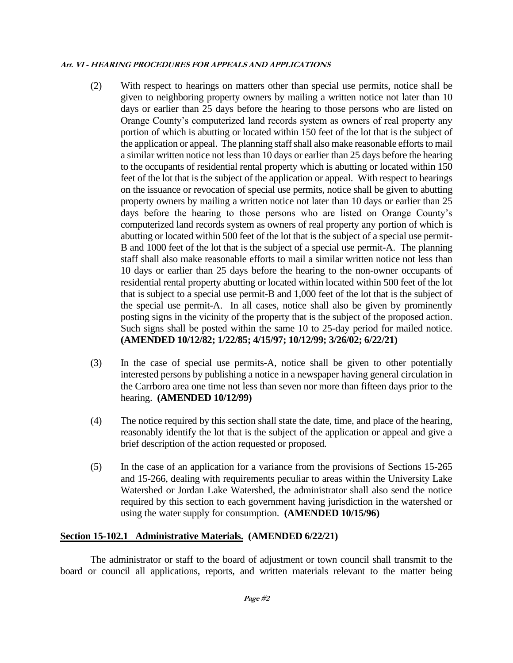- (2) With respect to hearings on matters other than special use permits, notice shall be given to neighboring property owners by mailing a written notice not later than 10 days or earlier than 25 days before the hearing to those persons who are listed on Orange County's computerized land records system as owners of real property any portion of which is abutting or located within 150 feet of the lot that is the subject of the application or appeal. The planning staff shall also make reasonable efforts to mail a similar written notice not less than 10 days or earlier than 25 days before the hearing to the occupants of residential rental property which is abutting or located within 150 feet of the lot that is the subject of the application or appeal. With respect to hearings on the issuance or revocation of special use permits, notice shall be given to abutting property owners by mailing a written notice not later than 10 days or earlier than 25 days before the hearing to those persons who are listed on Orange County's computerized land records system as owners of real property any portion of which is abutting or located within 500 feet of the lot that is the subject of a special use permit-B and 1000 feet of the lot that is the subject of a special use permit-A. The planning staff shall also make reasonable efforts to mail a similar written notice not less than 10 days or earlier than 25 days before the hearing to the non-owner occupants of residential rental property abutting or located within located within 500 feet of the lot that is subject to a special use permit-B and 1,000 feet of the lot that is the subject of the special use permit-A. In all cases, notice shall also be given by prominently posting signs in the vicinity of the property that is the subject of the proposed action. Such signs shall be posted within the same 10 to 25-day period for mailed notice. **(AMENDED 10/12/82; 1/22/85; 4/15/97; 10/12/99; 3/26/02; 6/22/21)**
- (3) In the case of special use permits-A, notice shall be given to other potentially interested persons by publishing a notice in a newspaper having general circulation in the Carrboro area one time not less than seven nor more than fifteen days prior to the hearing. **(AMENDED 10/12/99)**
- (4) The notice required by this section shall state the date, time, and place of the hearing, reasonably identify the lot that is the subject of the application or appeal and give a brief description of the action requested or proposed.
- (5) In the case of an application for a variance from the provisions of Sections 15-265 and 15-266, dealing with requirements peculiar to areas within the University Lake Watershed or Jordan Lake Watershed, the administrator shall also send the notice required by this section to each government having jurisdiction in the watershed or using the water supply for consumption. **(AMENDED 10/15/96)**

## **Section 15-102.1 Administrative Materials. (AMENDED 6/22/21)**

The administrator or staff to the board of adjustment or town council shall transmit to the board or council all applications, reports, and written materials relevant to the matter being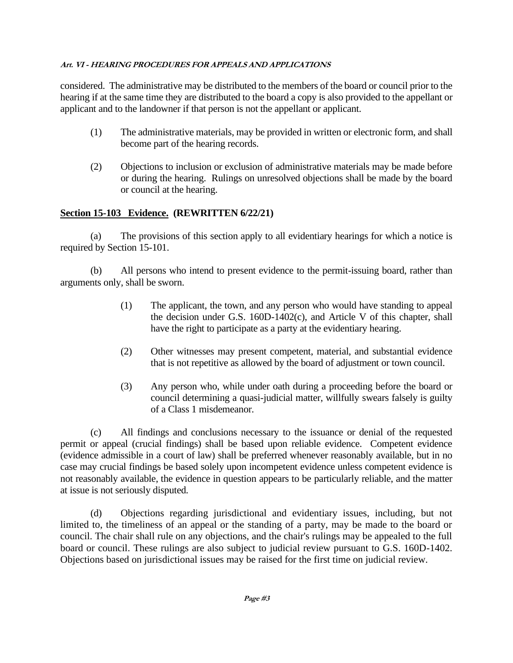considered. The administrative may be distributed to the members of the board or council prior to the hearing if at the same time they are distributed to the board a copy is also provided to the appellant or applicant and to the landowner if that person is not the appellant or applicant.

- (1) The administrative materials, may be provided in written or electronic form, and shall become part of the hearing records.
- (2) Objections to inclusion or exclusion of administrative materials may be made before or during the hearing. Rulings on unresolved objections shall be made by the board or council at the hearing.

# **Section 15-103 Evidence. (REWRITTEN 6/22/21)**

(a) The provisions of this section apply to all evidentiary hearings for which a notice is required by Section 15-101.

(b) All persons who intend to present evidence to the permit-issuing board, rather than arguments only, shall be sworn.

- (1) The applicant, the town, and any person who would have standing to appeal the decision under G.S. 160D-1402(c), and Article V of this chapter, shall have the right to participate as a party at the evidentiary hearing.
- (2) Other witnesses may present competent, material, and substantial evidence that is not repetitive as allowed by the board of adjustment or town council.
- (3) Any person who, while under oath during a proceeding before the board or council determining a quasi-judicial matter, willfully swears falsely is guilty of a Class 1 misdemeanor.

(c) All findings and conclusions necessary to the issuance or denial of the requested permit or appeal (crucial findings) shall be based upon reliable evidence. Competent evidence (evidence admissible in a court of law) shall be preferred whenever reasonably available, but in no case may crucial findings be based solely upon incompetent evidence unless competent evidence is not reasonably available, the evidence in question appears to be particularly reliable, and the matter at issue is not seriously disputed.

(d) Objections regarding jurisdictional and evidentiary issues, including, but not limited to, the timeliness of an appeal or the standing of a party, may be made to the board or council. The chair shall rule on any objections, and the chair's rulings may be appealed to the full board or council. These rulings are also subject to judicial review pursuant to G.S. 160D-1402. Objections based on jurisdictional issues may be raised for the first time on judicial review.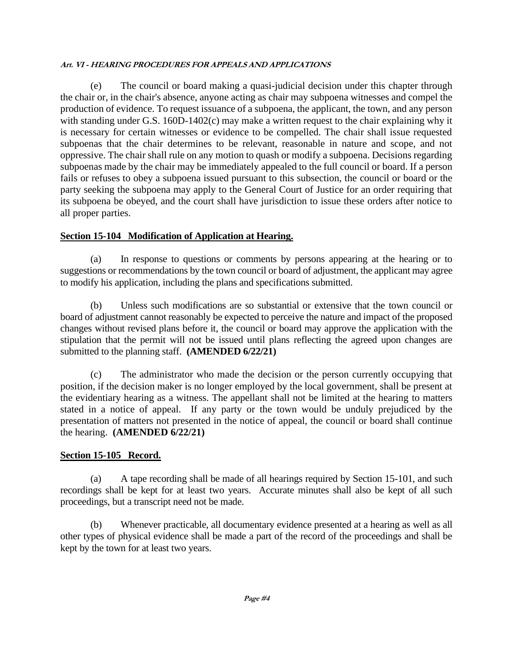The council or board making a quasi-judicial decision under this chapter through the chair or, in the chair's absence, anyone acting as chair may subpoena witnesses and compel the production of evidence. To request issuance of a subpoena, the applicant, the town, and any person with standing under G.S. 160D-1402(c) may make a written request to the chair explaining why it is necessary for certain witnesses or evidence to be compelled. The chair shall issue requested subpoenas that the chair determines to be relevant, reasonable in nature and scope, and not oppressive. The chair shall rule on any motion to quash or modify a subpoena. Decisions regarding subpoenas made by the chair may be immediately appealed to the full council or board. If a person fails or refuses to obey a subpoena issued pursuant to this subsection, the council or board or the party seeking the subpoena may apply to the General Court of Justice for an order requiring that its subpoena be obeyed, and the court shall have jurisdiction to issue these orders after notice to all proper parties.

# **Section 15-104 Modification of Application at Hearing.**

(a) In response to questions or comments by persons appearing at the hearing or to suggestions or recommendations by the town council or board of adjustment, the applicant may agree to modify his application, including the plans and specifications submitted.

(b) Unless such modifications are so substantial or extensive that the town council or board of adjustment cannot reasonably be expected to perceive the nature and impact of the proposed changes without revised plans before it, the council or board may approve the application with the stipulation that the permit will not be issued until plans reflecting the agreed upon changes are submitted to the planning staff. **(AMENDED 6/22/21)**

(c) The administrator who made the decision or the person currently occupying that position, if the decision maker is no longer employed by the local government, shall be present at the evidentiary hearing as a witness. The appellant shall not be limited at the hearing to matters stated in a notice of appeal. If any party or the town would be unduly prejudiced by the presentation of matters not presented in the notice of appeal, the council or board shall continue the hearing. **(AMENDED 6/22/21)**

# **Section 15-105 Record.**

(a) A tape recording shall be made of all hearings required by Section 15-101, and such recordings shall be kept for at least two years. Accurate minutes shall also be kept of all such proceedings, but a transcript need not be made.

(b) Whenever practicable, all documentary evidence presented at a hearing as well as all other types of physical evidence shall be made a part of the record of the proceedings and shall be kept by the town for at least two years.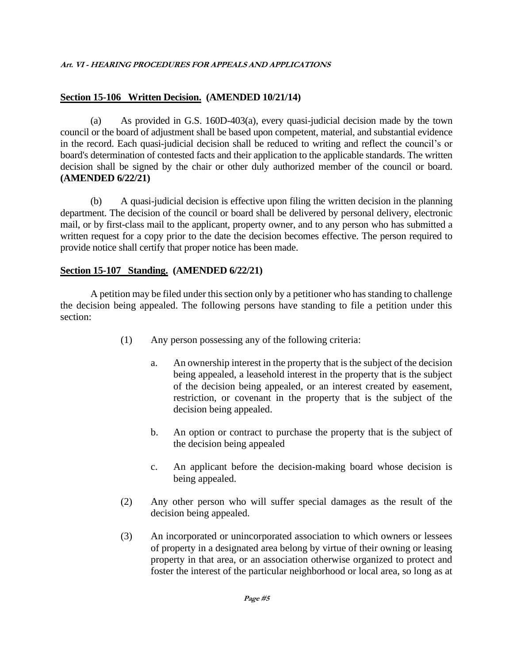# **Section 15-106 Written Decision. (AMENDED 10/21/14)**

(a) As provided in G.S. 160D-403(a), every quasi-judicial decision made by the town council or the board of adjustment shall be based upon competent, material, and substantial evidence in the record. Each quasi-judicial decision shall be reduced to writing and reflect the council's or board's determination of contested facts and their application to the applicable standards. The written decision shall be signed by the chair or other duly authorized member of the council or board. **(AMENDED 6/22/21)**

(b) A quasi-judicial decision is effective upon filing the written decision in the planning department. The decision of the council or board shall be delivered by personal delivery, electronic mail, or by first-class mail to the applicant, property owner, and to any person who has submitted a written request for a copy prior to the date the decision becomes effective. The person required to provide notice shall certify that proper notice has been made.

# **Section 15-107 Standing. (AMENDED 6/22/21)**

A petition may be filed under this section only by a petitioner who has standing to challenge the decision being appealed. The following persons have standing to file a petition under this section:

- (1) Any person possessing any of the following criteria:
	- a. An ownership interest in the property that is the subject of the decision being appealed, a leasehold interest in the property that is the subject of the decision being appealed, or an interest created by easement, restriction, or covenant in the property that is the subject of the decision being appealed.
	- b. An option or contract to purchase the property that is the subject of the decision being appealed
	- c. An applicant before the decision-making board whose decision is being appealed.
- (2) Any other person who will suffer special damages as the result of the decision being appealed.
- (3) An incorporated or unincorporated association to which owners or lessees of property in a designated area belong by virtue of their owning or leasing property in that area, or an association otherwise organized to protect and foster the interest of the particular neighborhood or local area, so long as at